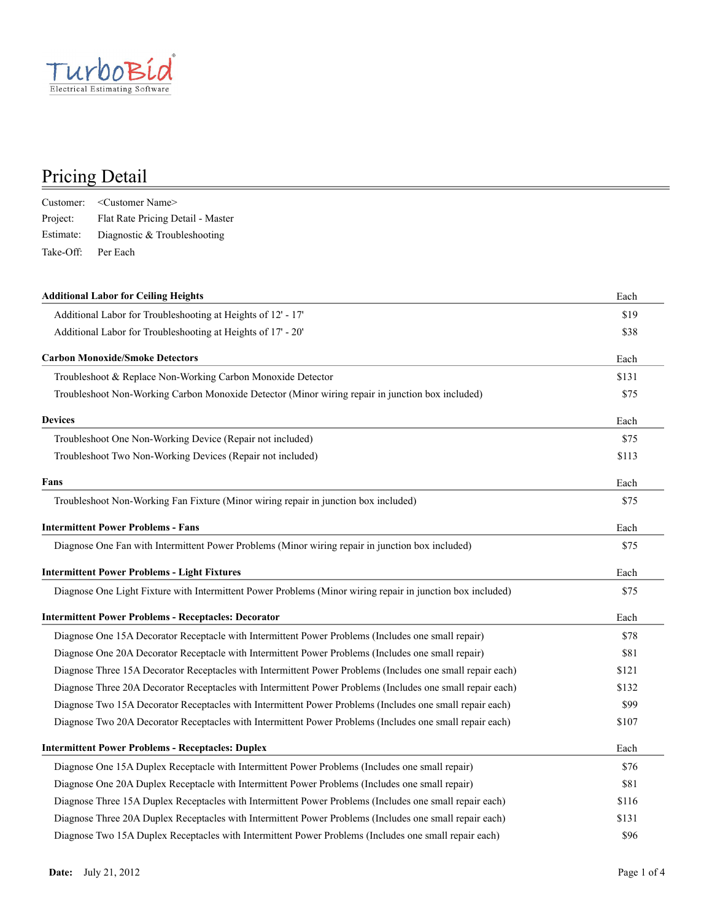

|           | Customer: < Customer Name>        |
|-----------|-----------------------------------|
| Project:  | Flat Rate Pricing Detail - Master |
| Estimate: | Diagnostic & Troubleshooting      |
| Take-Off: | Per Each                          |

| <b>Additional Labor for Ceiling Heights</b>                                                                | Each  |
|------------------------------------------------------------------------------------------------------------|-------|
| Additional Labor for Troubleshooting at Heights of 12' - 17'                                               | \$19  |
| Additional Labor for Troubleshooting at Heights of 17' - 20'                                               | \$38  |
| <b>Carbon Monoxide/Smoke Detectors</b>                                                                     | Each  |
| Troubleshoot & Replace Non-Working Carbon Monoxide Detector                                                | \$131 |
| Troubleshoot Non-Working Carbon Monoxide Detector (Minor wiring repair in junction box included)           | \$75  |
| <b>Devices</b>                                                                                             | Each  |
| Troubleshoot One Non-Working Device (Repair not included)                                                  | \$75  |
| Troubleshoot Two Non-Working Devices (Repair not included)                                                 | \$113 |
| Fans                                                                                                       | Each  |
| Troubleshoot Non-Working Fan Fixture (Minor wiring repair in junction box included)                        | \$75  |
| <b>Intermittent Power Problems - Fans</b>                                                                  | Each  |
| Diagnose One Fan with Intermittent Power Problems (Minor wiring repair in junction box included)           | \$75  |
| <b>Intermittent Power Problems - Light Fixtures</b>                                                        | Each  |
| Diagnose One Light Fixture with Intermittent Power Problems (Minor wiring repair in junction box included) | \$75  |
| <b>Intermittent Power Problems - Receptacles: Decorator</b>                                                | Each  |
| Diagnose One 15A Decorator Receptacle with Intermittent Power Problems (Includes one small repair)         | \$78  |
| Diagnose One 20A Decorator Receptacle with Intermittent Power Problems (Includes one small repair)         | \$81  |
| Diagnose Three 15A Decorator Receptacles with Intermittent Power Problems (Includes one small repair each) | \$121 |
| Diagnose Three 20A Decorator Receptacles with Intermittent Power Problems (Includes one small repair each) | \$132 |
| Diagnose Two 15A Decorator Receptacles with Intermittent Power Problems (Includes one small repair each)   | \$99  |
| Diagnose Two 20A Decorator Receptacles with Intermittent Power Problems (Includes one small repair each)   | \$107 |
| <b>Intermittent Power Problems - Receptacles: Duplex</b>                                                   | Each  |
| Diagnose One 15A Duplex Receptacle with Intermittent Power Problems (Includes one small repair)            | \$76  |
| Diagnose One 20A Duplex Receptacle with Intermittent Power Problems (Includes one small repair)            | \$81  |
| Diagnose Three 15A Duplex Receptacles with Intermittent Power Problems (Includes one small repair each)    | \$116 |
| Diagnose Three 20A Duplex Receptacles with Intermittent Power Problems (Includes one small repair each)    | \$131 |
| Diagnose Two 15A Duplex Receptacles with Intermittent Power Problems (Includes one small repair each)      | \$96  |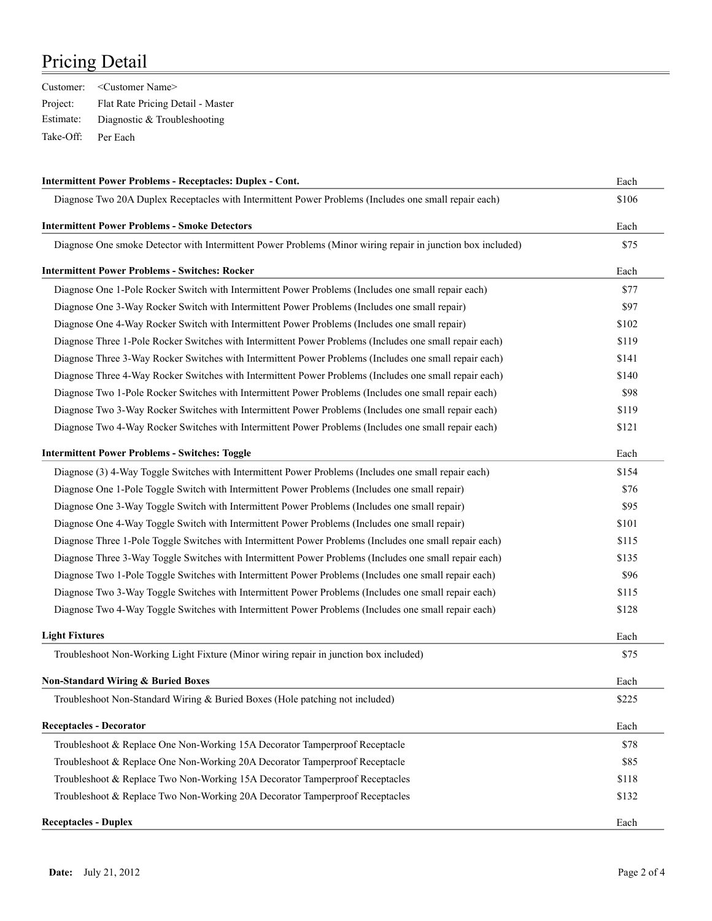|           | Customer: < Customer Name>        |
|-----------|-----------------------------------|
| Project:  | Flat Rate Pricing Detail - Master |
| Estimate: | Diagnostic & Troubleshooting      |
| Take-Off: | Per Each                          |

| <b>Intermittent Power Problems - Receptacles: Duplex - Cont.</b>                                            |       |
|-------------------------------------------------------------------------------------------------------------|-------|
| Diagnose Two 20A Duplex Receptacles with Intermittent Power Problems (Includes one small repair each)       | \$106 |
| <b>Intermittent Power Problems - Smoke Detectors</b>                                                        | Each  |
| Diagnose One smoke Detector with Intermittent Power Problems (Minor wiring repair in junction box included) | \$75  |
| <b>Intermittent Power Problems - Switches: Rocker</b>                                                       | Each  |
| Diagnose One 1-Pole Rocker Switch with Intermittent Power Problems (Includes one small repair each)         | \$77  |
| Diagnose One 3-Way Rocker Switch with Intermittent Power Problems (Includes one small repair)               | \$97  |
| Diagnose One 4-Way Rocker Switch with Intermittent Power Problems (Includes one small repair)               | \$102 |
| Diagnose Three 1-Pole Rocker Switches with Intermittent Power Problems (Includes one small repair each)     | \$119 |
| Diagnose Three 3-Way Rocker Switches with Intermittent Power Problems (Includes one small repair each)      | \$141 |
| Diagnose Three 4-Way Rocker Switches with Intermittent Power Problems (Includes one small repair each)      | \$140 |
| Diagnose Two 1-Pole Rocker Switches with Intermittent Power Problems (Includes one small repair each)       | \$98  |
| Diagnose Two 3-Way Rocker Switches with Intermittent Power Problems (Includes one small repair each)        | \$119 |
| Diagnose Two 4-Way Rocker Switches with Intermittent Power Problems (Includes one small repair each)        | \$121 |
| <b>Intermittent Power Problems - Switches: Toggle</b>                                                       | Each  |
| Diagnose (3) 4-Way Toggle Switches with Intermittent Power Problems (Includes one small repair each)        | \$154 |
| Diagnose One 1-Pole Toggle Switch with Intermittent Power Problems (Includes one small repair)              | \$76  |
| Diagnose One 3-Way Toggle Switch with Intermittent Power Problems (Includes one small repair)               | \$95  |
| Diagnose One 4-Way Toggle Switch with Intermittent Power Problems (Includes one small repair)               | \$101 |
| Diagnose Three 1-Pole Toggle Switches with Intermittent Power Problems (Includes one small repair each)     | \$115 |
| Diagnose Three 3-Way Toggle Switches with Intermittent Power Problems (Includes one small repair each)      | \$135 |
| Diagnose Two 1-Pole Toggle Switches with Intermittent Power Problems (Includes one small repair each)       | \$96  |
| Diagnose Two 3-Way Toggle Switches with Intermittent Power Problems (Includes one small repair each)        | \$115 |
| Diagnose Two 4-Way Toggle Switches with Intermittent Power Problems (Includes one small repair each)        | \$128 |
| <b>Light Fixtures</b>                                                                                       | Each  |
| Troubleshoot Non-Working Light Fixture (Minor wiring repair in junction box included)                       | \$75  |
| <b>Non-Standard Wiring &amp; Buried Boxes</b>                                                               | Each  |
| Troubleshoot Non-Standard Wiring & Buried Boxes (Hole patching not included)                                | \$225 |
| Receptacles - Decorator                                                                                     | Each  |
| Troubleshoot & Replace One Non-Working 15A Decorator Tamperproof Receptacle                                 | \$78  |
| Troubleshoot & Replace One Non-Working 20A Decorator Tamperproof Receptacle                                 | \$85  |
| Troubleshoot & Replace Two Non-Working 15A Decorator Tamperproof Receptacles                                | \$118 |
| Troubleshoot & Replace Two Non-Working 20A Decorator Tamperproof Receptacles                                | \$132 |
| <b>Receptacles - Duplex</b>                                                                                 | Each  |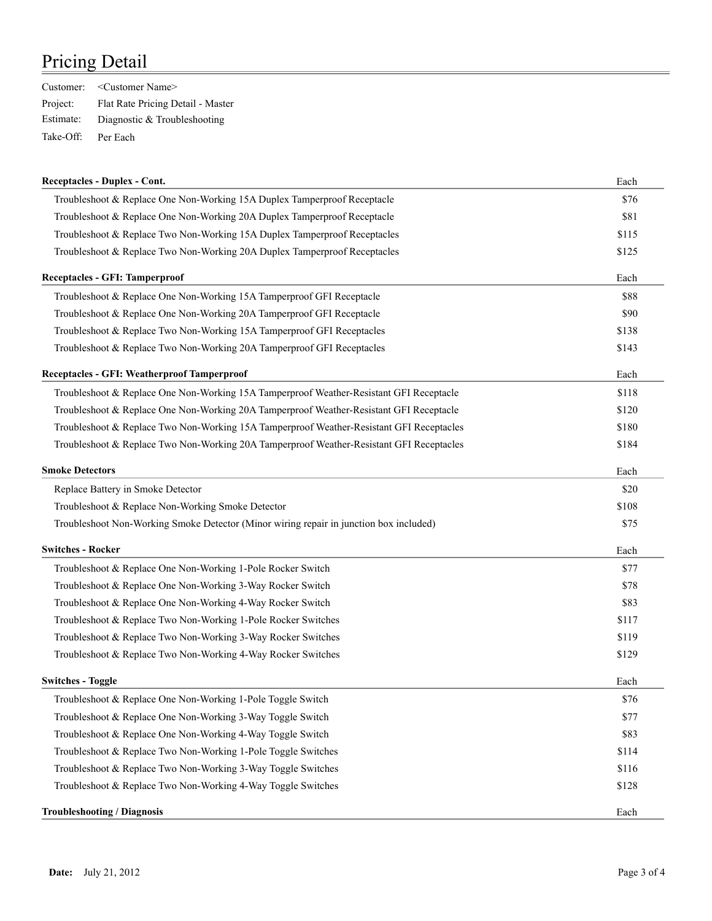|           | Customer: < Customer Name>        |
|-----------|-----------------------------------|
| Project:  | Flat Rate Pricing Detail - Master |
| Estimate: | Diagnostic & Troubleshooting      |
| Take-Off: | Per Each                          |

| <b>Receptacles - Duplex - Cont.</b>                                                      | Each  |
|------------------------------------------------------------------------------------------|-------|
| Troubleshoot & Replace One Non-Working 15A Duplex Tamperproof Receptacle                 | \$76  |
| Troubleshoot & Replace One Non-Working 20A Duplex Tamperproof Receptacle                 | \$81  |
| Troubleshoot & Replace Two Non-Working 15A Duplex Tamperproof Receptacles                | \$115 |
| Troubleshoot & Replace Two Non-Working 20A Duplex Tamperproof Receptacles                | \$125 |
| Receptacles - GFI: Tamperproof                                                           | Each  |
| Troubleshoot & Replace One Non-Working 15A Tamperproof GFI Receptacle                    | \$88  |
| Troubleshoot & Replace One Non-Working 20A Tamperproof GFI Receptacle                    | \$90  |
| Troubleshoot & Replace Two Non-Working 15A Tamperproof GFI Receptacles                   | \$138 |
| Troubleshoot & Replace Two Non-Working 20A Tamperproof GFI Receptacles                   | \$143 |
| Receptacles - GFI: Weatherproof Tamperproof                                              | Each  |
| Troubleshoot & Replace One Non-Working 15A Tamperproof Weather-Resistant GFI Receptacle  | \$118 |
| Troubleshoot & Replace One Non-Working 20A Tamperproof Weather-Resistant GFI Receptacle  | \$120 |
| Troubleshoot & Replace Two Non-Working 15A Tamperproof Weather-Resistant GFI Receptacles | \$180 |
| Troubleshoot & Replace Two Non-Working 20A Tamperproof Weather-Resistant GFI Receptacles | \$184 |
| <b>Smoke Detectors</b>                                                                   | Each  |
| Replace Battery in Smoke Detector                                                        | \$20  |
| Troubleshoot & Replace Non-Working Smoke Detector                                        | \$108 |
| Troubleshoot Non-Working Smoke Detector (Minor wiring repair in junction box included)   | \$75  |
| <b>Switches - Rocker</b>                                                                 | Each  |
| Troubleshoot & Replace One Non-Working 1-Pole Rocker Switch                              | \$77  |
| Troubleshoot & Replace One Non-Working 3-Way Rocker Switch                               | \$78  |
| Troubleshoot & Replace One Non-Working 4-Way Rocker Switch                               | \$83  |
| Troubleshoot & Replace Two Non-Working 1-Pole Rocker Switches                            | \$117 |
| Troubleshoot & Replace Two Non-Working 3-Way Rocker Switches                             | \$119 |
| Troubleshoot & Replace Two Non-Working 4-Way Rocker Switches                             | \$129 |
| <b>Switches - Toggle</b>                                                                 | Each  |
| Troubleshoot & Replace One Non-Working 1-Pole Toggle Switch                              | \$76  |
| Troubleshoot & Replace One Non-Working 3-Way Toggle Switch                               | \$77  |
| Troubleshoot & Replace One Non-Working 4-Way Toggle Switch                               | \$83  |
| Troubleshoot & Replace Two Non-Working 1-Pole Toggle Switches                            | \$114 |
| Troubleshoot & Replace Two Non-Working 3-Way Toggle Switches                             | \$116 |
| Troubleshoot & Replace Two Non-Working 4-Way Toggle Switches                             | \$128 |
| <b>Troubleshooting / Diagnosis</b>                                                       | Each  |